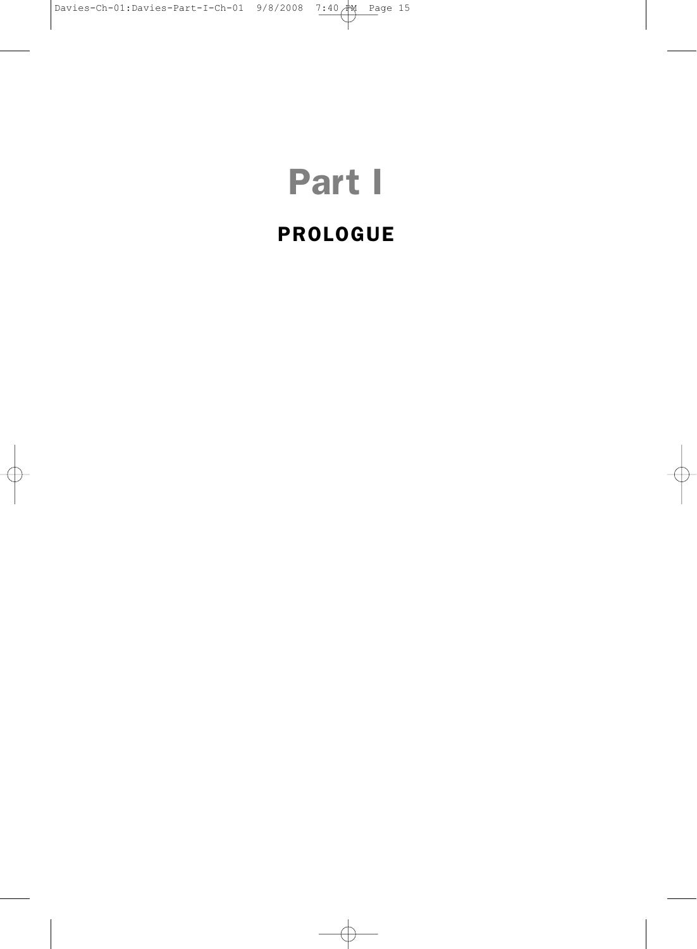# **Part I PROLOGUE**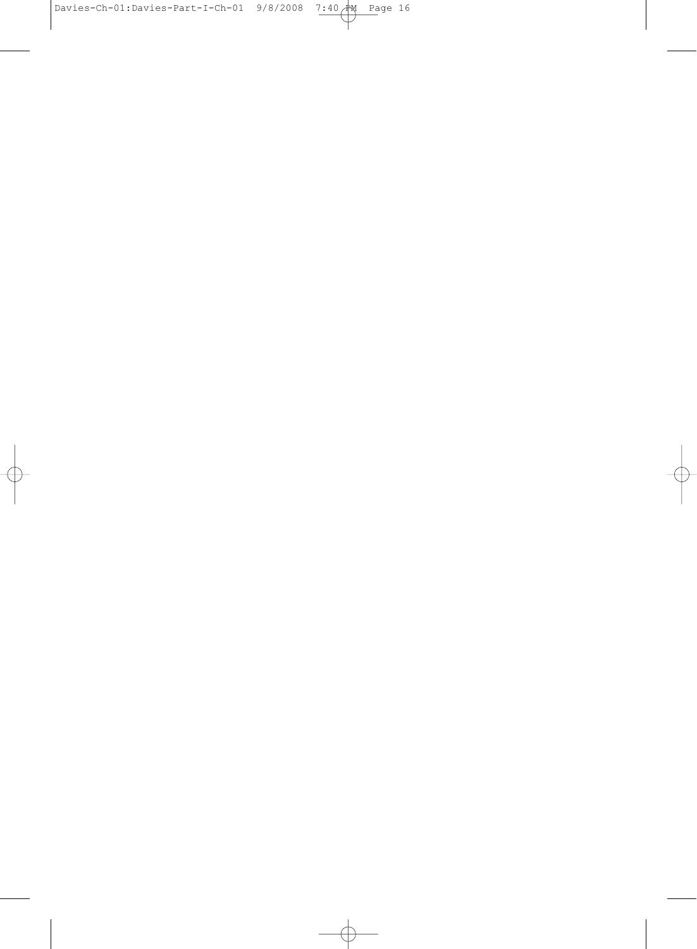$\overline{\mathcal{A}}$ 

 $\rightarrow$ 

 $\uparrow$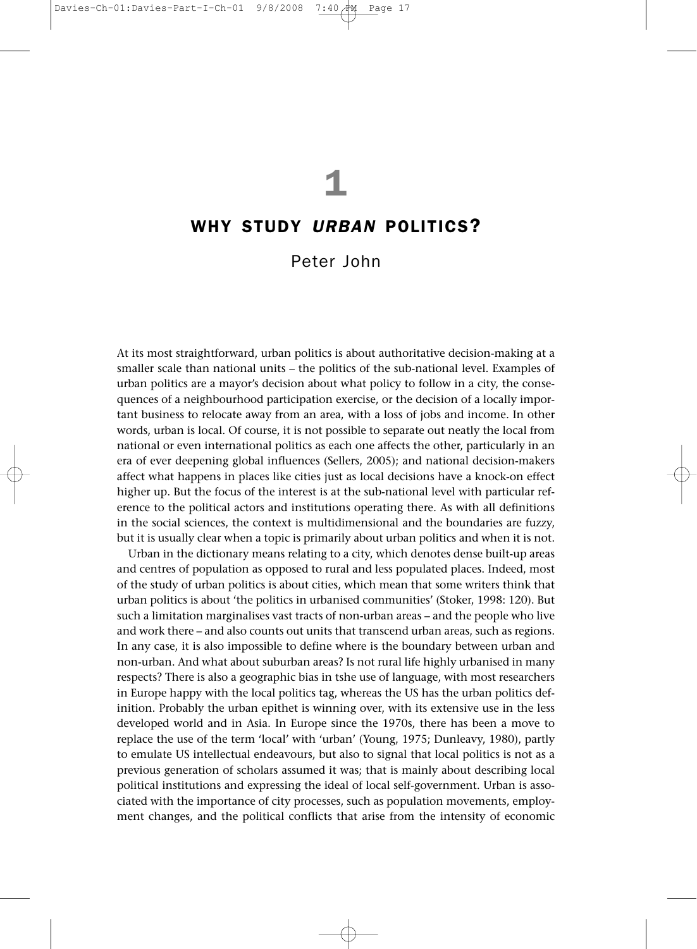## **1**

### **WHY STUDY** *URBAN* **POLITICS?**

Peter John

At its most straightforward, urban politics is about authoritative decision-making at a smaller scale than national units – the politics of the sub-national level. Examples of urban politics are a mayor's decision about what policy to follow in a city, the consequences of a neighbourhood participation exercise, or the decision of a locally important business to relocate away from an area, with a loss of jobs and income. In other words, urban is local. Of course, it is not possible to separate out neatly the local from national or even international politics as each one affects the other, particularly in an era of ever deepening global influences (Sellers, 2005); and national decision-makers affect what happens in places like cities just as local decisions have a knock-on effect higher up. But the focus of the interest is at the sub-national level with particular reference to the political actors and institutions operating there. As with all definitions in the social sciences, the context is multidimensional and the boundaries are fuzzy, but it is usually clear when a topic is primarily about urban politics and when it is not.

Urban in the dictionary means relating to a city, which denotes dense built-up areas and centres of population as opposed to rural and less populated places. Indeed, most of the study of urban politics is about cities, which mean that some writers think that urban politics is about 'the politics in urbanised communities' (Stoker, 1998: 120). But such a limitation marginalises vast tracts of non-urban areas – and the people who live and work there – and also counts out units that transcend urban areas, such as regions. In any case, it is also impossible to define where is the boundary between urban and non-urban. And what about suburban areas? Is not rural life highly urbanised in many respects? There is also a geographic bias in tshe use of language, with most researchers in Europe happy with the local politics tag, whereas the US has the urban politics definition. Probably the urban epithet is winning over, with its extensive use in the less developed world and in Asia. In Europe since the 1970s, there has been a move to replace the use of the term 'local' with 'urban' (Young, 1975; Dunleavy, 1980), partly to emulate US intellectual endeavours, but also to signal that local politics is not as a previous generation of scholars assumed it was; that is mainly about describing local political institutions and expressing the ideal of local self-government. Urban is associated with the importance of city processes, such as population movements, employment changes, and the political conflicts that arise from the intensity of economic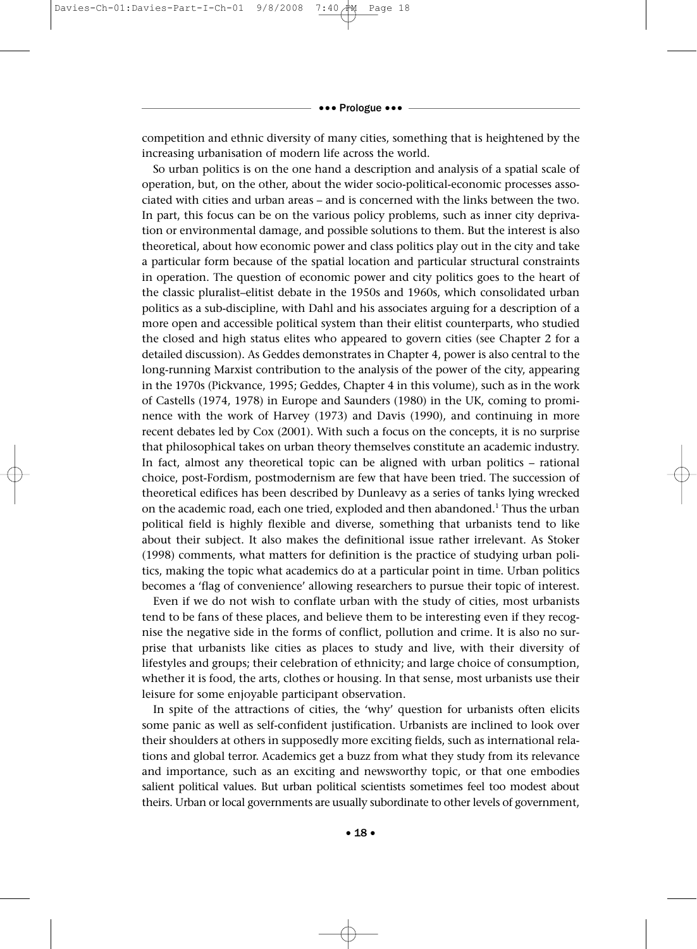••• Prologue •••

competition and ethnic diversity of many cities, something that is heightened by the increasing urbanisation of modern life across the world. So urban politics is on the one hand a description and analysis of a spatial scale of

operation, but, on the other, about the wider socio-political-economic processes associated with cities and urban areas – and is concerned with the links between the two. In part, this focus can be on the various policy problems, such as inner city deprivation or environmental damage, and possible solutions to them. But the interest is also theoretical, about how economic power and class politics play out in the city and take a particular form because of the spatial location and particular structural constraints in operation. The question of economic power and city politics goes to the heart of the classic pluralist–elitist debate in the 1950s and 1960s, which consolidated urban politics as a sub-discipline, with Dahl and his associates arguing for a description of a more open and accessible political system than their elitist counterparts, who studied the closed and high status elites who appeared to govern cities (see Chapter 2 for a detailed discussion). As Geddes demonstrates in Chapter 4, power is also central to the long-running Marxist contribution to the analysis of the power of the city, appearing in the 1970s (Pickvance, 1995; Geddes, Chapter 4 in this volume), such as in the work of Castells (1974, 1978) in Europe and Saunders (1980) in the UK, coming to prominence with the work of Harvey (1973) and Davis (1990), and continuing in more recent debates led by Cox (2001). With such a focus on the concepts, it is no surprise that philosophical takes on urban theory themselves constitute an academic industry. In fact, almost any theoretical topic can be aligned with urban politics – rational choice, post-Fordism, postmodernism are few that have been tried. The succession of theoretical edifices has been described by Dunleavy as a series of tanks lying wrecked on the academic road, each one tried, exploded and then abandoned. <sup>1</sup> Thus the urban political field is highly flexible and diverse, something that urbanists tend to like about their subject. It also makes the definitional issue rather irrelevant. As Stoker (1998) comments, what matters for definition is the practice of studying urban politics, making the topic what academics do at a particular point in time. Urban politics becomes a 'flag of convenience' allowing researchers to pursue their topic of interest.

Even if we do not wish to conflate urban with the study of cities, most urbanists tend to be fans of these places, and believe them to be interesting even if they recognise the negative side in the forms of conflict, pollution and crime. It is also no surprise that urbanists like cities as places to study and live, with their diversity of lifestyles and groups; their celebration of ethnicity; and large choice of consumption, whether it is food, the arts, clothes or housing. In that sense, most urbanists use their leisure for some enjoyable participant observation.

In spite of the attractions of cities, the 'why' question for urbanists often elicits some panic as well as self-confident justification. Urbanists are inclined to look over their shoulders at others in supposedly more exciting fields, such as international relations and global terror. Academics get a buzz from what they study from its relevance and importance, such as an exciting and newsworthy topic, or that one embodies salient political values. But urban political scientists sometimes feel too modest about theirs. Urban or local governments are usually subordinate to other levels of government,

• 18 •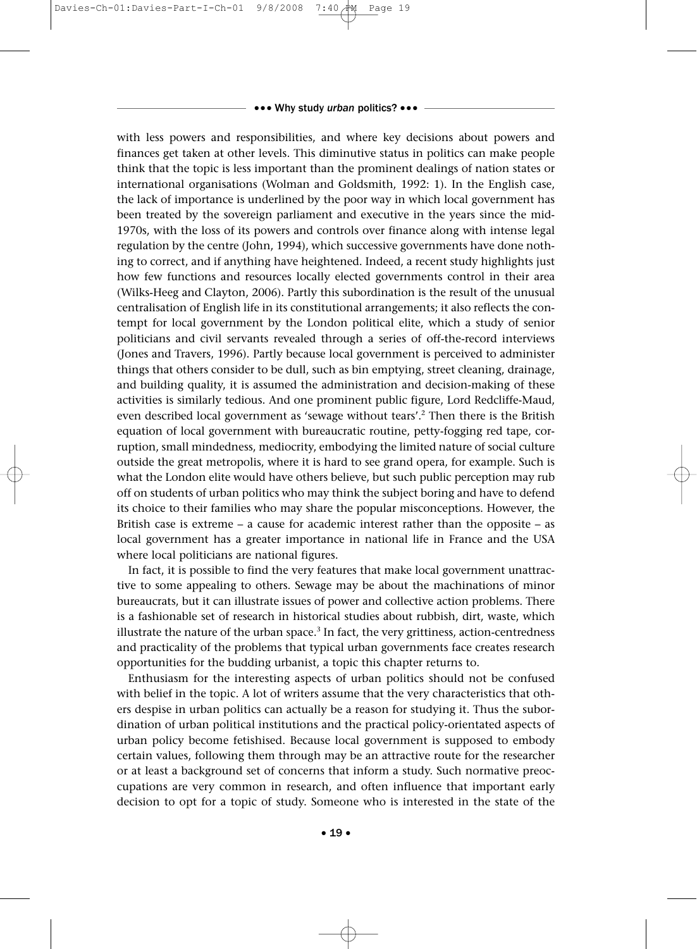with less powers and responsibilities, and where key decisions about powers and finances get taken at other levels. This diminutive status in politics can make people think that the topic is less important than the prominent dealings of nation states or international organisations (Wolman and Goldsmith, 1992: 1). In the English case, the lack of importance is underlined by the poor way in which local government has been treated by the sovereign parliament and executive in the years since the mid-1970s, with the loss of its powers and controls over finance along with intense legal regulation by the centre (John, 1994), which successive governments have done nothing to correct, and if anything have heightened. Indeed, a recent study highlights just how few functions and resources locally elected governments control in their area (Wilks-Heeg and Clayton, 2006). Partly this subordination is the result of the unusual centralisation of English life in its constitutional arrangements; it also reflects the contempt for local government by the London political elite, which a study of senior politicians and civil servants revealed through a series of off-the-record interviews (Jones and Travers, 1996). Partly because local government is perceived to administer things that others consider to be dull, such as bin emptying, street cleaning, drainage, and building quality, it is assumed the administration and decision-making of these activities is similarly tedious. And one prominent public figure, Lord Redcliffe-Maud, even described local government as 'sewage without tears'. <sup>2</sup> Then there is the British equation of local government with bureaucratic routine, petty-fogging red tape, corruption, small mindedness, mediocrity, embodying the limited nature of social culture outside the great metropolis, where it is hard to see grand opera, for example. Such is what the London elite would have others believe, but such public perception may rub off on students of urban politics who may think the subject boring and have to defend its choice to their families who may share the popular misconceptions. However, the British case is extreme – a cause for academic interest rather than the opposite – as local government has a greater importance in national life in France and the USA where local politicians are national figures.

In fact, it is possible to find the very features that make local government unattractive to some appealing to others. Sewage may be about the machinations of minor bureaucrats, but it can illustrate issues of power and collective action problems. There is a fashionable set of research in historical studies about rubbish, dirt, waste, which illustrate the nature of the urban space. $^3$  In fact, the very grittiness, action-centredness and practicality of the problems that typical urban governments face creates research opportunities for the budding urbanist, a topic this chapter returns to.

Enthusiasm for the interesting aspects of urban politics should not be confused with belief in the topic. A lot of writers assume that the very characteristics that others despise in urban politics can actually be a reason for studying it. Thus the subordination of urban political institutions and the practical policy-orientated aspects of urban policy become fetishised. Because local government is supposed to embody certain values, following them through may be an attractive route for the researcher or at least a background set of concerns that inform a study. Such normative preoccupations are very common in research, and often influence that important early decision to opt for a topic of study. Someone who is interested in the state of the

• 19 •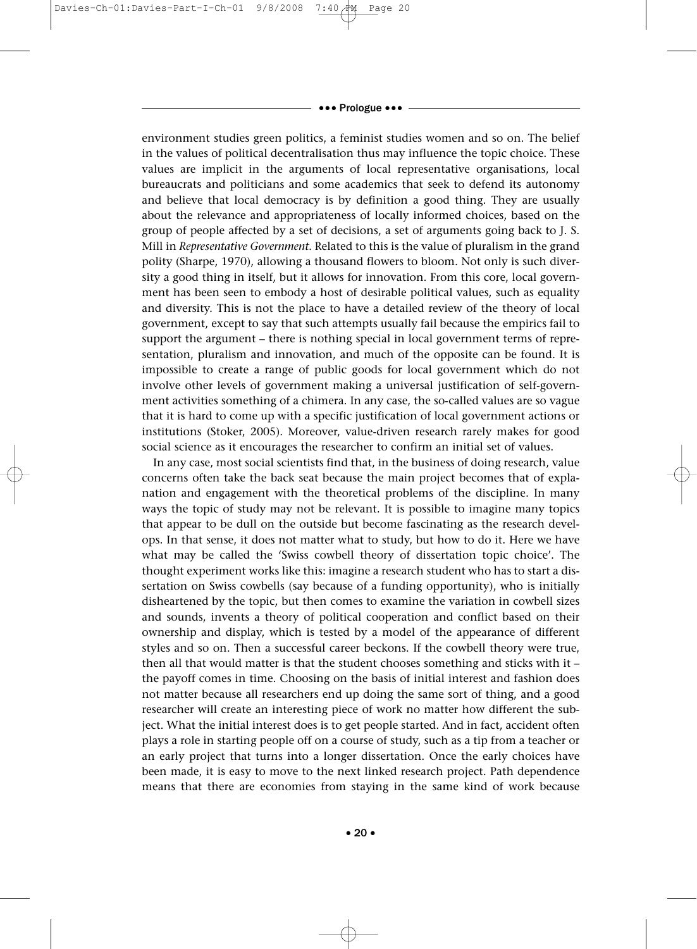••• Prologue •••

environment studies green politics, a feminist studies women and so on. The belief in the values of political decentralisation thus may influence the topic choice. These values are implicit in the arguments of local representative organisations, local bureaucrats and politicians and some academics that seek to defend its autonomy and believe that local democracy is by definition a good thing. They are usually about the relevance and appropriateness of locally informed choices, based on the group of people affected by a set of decisions, a set of arguments going back to J. S. Mill in *Representative Government*. Related to this is the value of pluralism in the grand polity (Sharpe, 1970), allowing a thousand flowers to bloom. Not only is such diversity a good thing in itself, but it allows for innovation. From this core, local government has been seen to embody a host of desirable political values, such as equality and diversity. This is not the place to have a detailed review of the theory of local government, except to say that such attempts usually fail because the empirics fail to support the argument – there is nothing special in local government terms of representation, pluralism and innovation, and much of the opposite can be found. It is impossible to create a range of public goods for local government which do not involve other levels of government making a universal justification of self-government activities something of a chimera. In any case, the so-called values are so vague that it is hard to come up with a specific justification of local government actions or institutions (Stoker, 2005). Moreover, value-driven research rarely makes for good social science as it encourages the researcher to confirm an initial set of values.

In any case, most social scientists find that, in the business of doing research, value concerns often take the back seat because the main project becomes that of explanation and engagement with the theoretical problems of the discipline. In many ways the topic of study may not be relevant. It is possible to imagine many topics that appear to be dull on the outside but become fascinating as the research develops. In that sense, it does not matter what to study, but how to do it. Here we have what may be called the 'Swiss cowbell theory of dissertation topic choice'. The thought experiment works like this: imagine a research student who has to start a dissertation on Swiss cowbells (say because of a funding opportunity), who is initially disheartened by the topic, but then comes to examine the variation in cowbell sizes and sounds, invents a theory of political cooperation and conflict based on their ownership and display, which is tested by a model of the appearance of different styles and so on. Then a successful career beckons. If the cowbell theory were true, then all that would matter is that the student chooses something and sticks with it – the payoff comes in time. Choosing on the basis of initial interest and fashion does not matter because all researchers end up doing the same sort of thing, and a good researcher will create an interesting piece of work no matter how different the subject. What the initial interest does is to get people started. And in fact, accident often plays a role in starting people off on a course of study, such as a tip from a teacher or an early project that turns into a longer dissertation. Once the early choices have been made, it is easy to move to the next linked research project. Path dependence means that there are economies from staying in the same kind of work because

• 20 •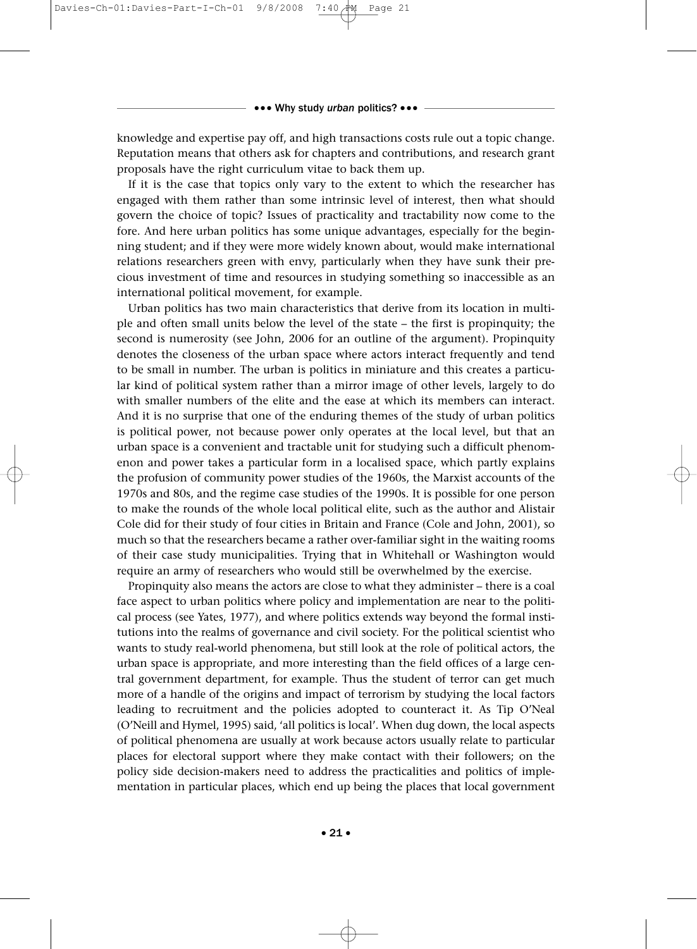#### ••• Why study *urban* politics? •••

knowledge and expertise pay off, and high transactions costs rule out a topic change. Reputation means that others ask for chapters and contributions, and research grant proposals have the right curriculum vitae to back them up.

If it is the case that topics only vary to the extent to which the researcher has engaged with them rather than some intrinsic level of interest, then what should govern the choice of topic? Issues of practicality and tractability now come to the fore. And here urban politics has some unique advantages, especially for the beginning student; and if they were more widely known about, would make international relations researchers green with envy, particularly when they have sunk their precious investment of time and resources in studying something so inaccessible as an international political movement, for example.

Urban politics has two main characteristics that derive from its location in multiple and often small units below the level of the state – the first is propinquity; the second is numerosity (see John, 2006 for an outline of the argument). Propinquity denotes the closeness of the urban space where actors interact frequently and tend to be small in number. The urban is politics in miniature and this creates a particular kind of political system rather than a mirror image of other levels, largely to do with smaller numbers of the elite and the ease at which its members can interact. And it is no surprise that one of the enduring themes of the study of urban politics is political power, not because power only operates at the local level, but that an urban space is a convenient and tractable unit for studying such a difficult phenomenon and power takes a particular form in a localised space, which partly explains the profusion of community power studies of the 1960s, the Marxist accounts of the 1970s and 80s, and the regime case studies of the 1990s. It is possible for one person to make the rounds of the whole local political elite, such as the author and Alistair Cole did for their study of four cities in Britain and France (Cole and John, 2001), so much so that the researchers became a rather over-familiar sight in the waiting rooms of their case study municipalities. Trying that in Whitehall or Washington would require an army of researchers who would still be overwhelmed by the exercise.

Propinquity also means the actors are close to what they administer – there is a coal face aspect to urban politics where policy and implementation are near to the political process (see Yates, 1977), and where politics extends way beyond the formal institutions into the realms of governance and civil society. For the political scientist who wants to study real-world phenomena, but still look at the role of political actors, the urban space is appropriate, and more interesting than the field offices of a large central government department, for example. Thus the student of terror can get much more of a handle of the origins and impact of terrorism by studying the local factors leading to recruitment and the policies adopted to counteract it. As Tip O'Neal (O'Neill and Hymel, 1995) said, 'all politics is local'. When dug down, the local aspects of political phenomena are usually at work because actors usually relate to particular places for electoral support where they make contact with their followers; on the policy side decision-makers need to address the practicalities and politics of implementation in particular places, which end up being the places that local government

• 21 •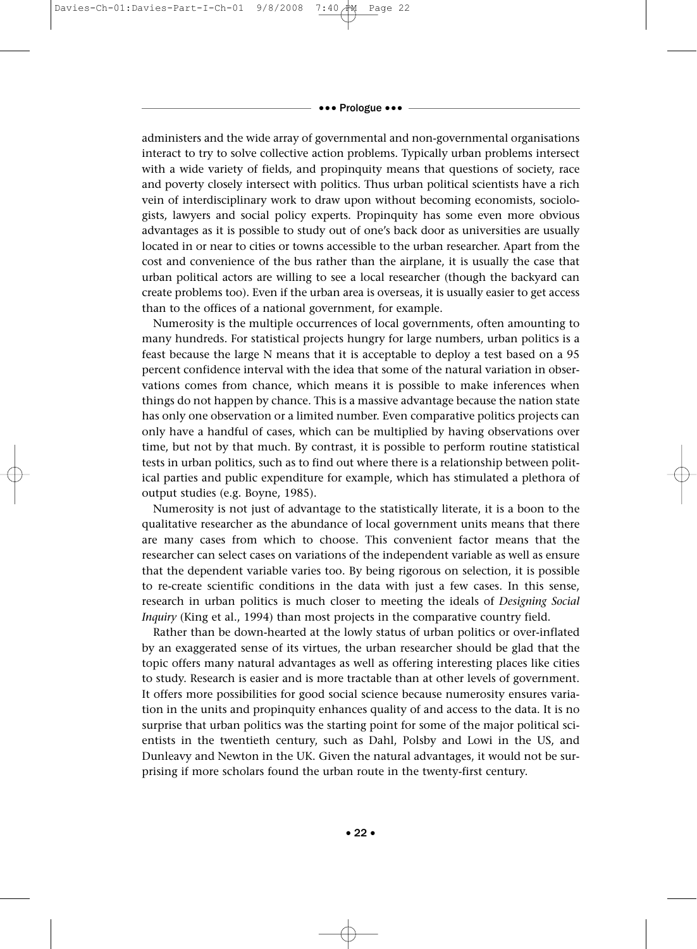administers and the wide array of governmental and non-governmental organisations interact to try to solve collective action problems. Typically urban problems intersect with a wide variety of fields, and propinquity means that questions of society, race and poverty closely intersect with politics. Thus urban political scientists have a rich vein of interdisciplinary work to draw upon without becoming economists, sociologists, lawyers and social policy experts. Propinquity has some even more obvious advantages as it is possible to study out of one's back door as universities are usually located in or near to cities or towns accessible to the urban researcher. Apart from the cost and convenience of the bus rather than the airplane, it is usually the case that urban political actors are willing to see a local researcher (though the backyard can create problems too). Even if the urban area is overseas, it is usually easier to get access than to the offices of a national government, for example.

Numerosity is the multiple occurrences of local governments, often amounting to many hundreds. For statistical projects hungry for large numbers, urban politics is a feast because the large N means that it is acceptable to deploy a test based on a 95 percent confidence interval with the idea that some of the natural variation in observations comes from chance, which means it is possible to make inferences when things do not happen by chance. This is a massive advantage because the nation state has only one observation or a limited number. Even comparative politics projects can only have a handful of cases, which can be multiplied by having observations over time, but not by that much. By contrast, it is possible to perform routine statistical tests in urban politics, such as to find out where there is a relationship between political parties and public expenditure for example, which has stimulated a plethora of output studies (e.g. Boyne, 1985).

Numerosity is not just of advantage to the statistically literate, it is a boon to the qualitative researcher as the abundance of local government units means that there are many cases from which to choose. This convenient factor means that the researcher can select cases on variations of the independent variable as well as ensure that the dependent variable varies too. By being rigorous on selection, it is possible to re-create scientific conditions in the data with just a few cases. In this sense, research in urban politics is much closer to meeting the ideals of *Designing Social Inquiry* (King et al., 1994) than most projects in the comparative country field.

Rather than be down-hearted at the lowly status of urban politics or over-inflated by an exaggerated sense of its virtues, the urban researcher should be glad that the topic offers many natural advantages as well as offering interesting places like cities to study. Research is easier and is more tractable than at other levels of government. It offers more possibilities for good social science because numerosity ensures variation in the units and propinquity enhances quality of and access to the data. It is no surprise that urban politics was the starting point for some of the major political scientists in the twentieth century, such as Dahl, Polsby and Lowi in the US, and Dunleavy and Newton in the UK. Given the natural advantages, it would not be surprising if more scholars found the urban route in the twenty-first century.

• 22 •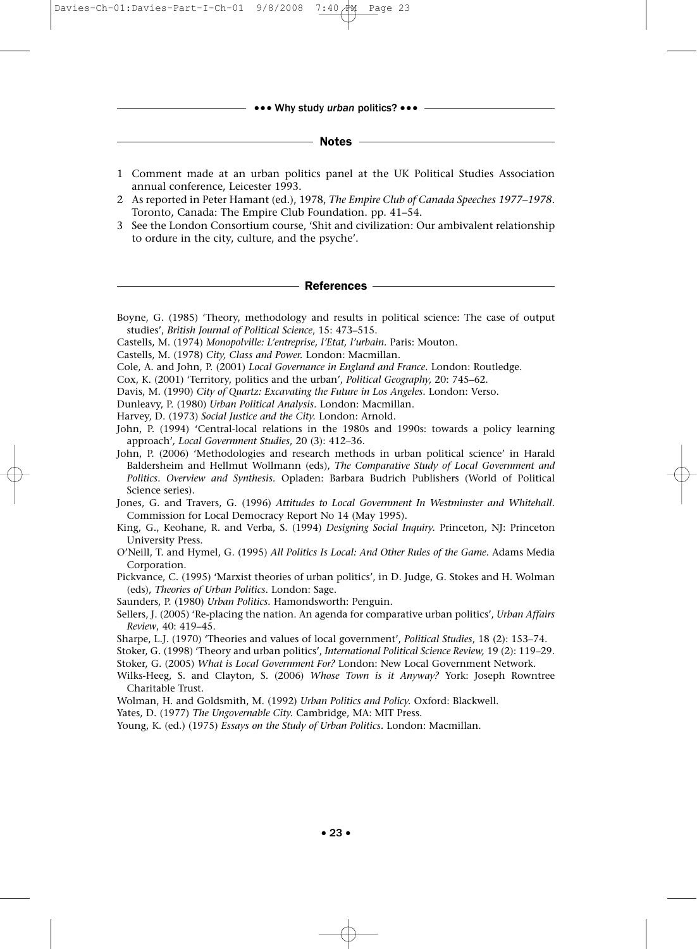••• Why study *urban* politics? •••

#### **Notes**

- 1 Comment made at an urban politics panel at the UK Political Studies Association annual conference, Leicester 1993.
- 2 As reported in Peter Hamant (ed.), 1978, *The Empire Club of Canada Speeches 1977–1978*. Toronto, Canada: The Empire Club Foundation. pp. 41–54.
- 3 See the London Consortium course, 'Shit and civilization: Our ambivalent relationship to ordure in the city, culture, and the psyche'.

#### **References**

Boyne, G. (1985) 'Theory, methodology and results in political science: The case of output studies', *British Journal of Political Science*, 15: 473–515.

Castells, M. (1974) *Monopolville: L'entreprise, l'Etat, l'urbain.* Paris: Mouton.

- Castells, M. (1978) *City, Class and Power.* London: Macmillan.
- Cole, A. and John, P. (2001) *Local Governance in England and France.* London: Routledge.
- Cox, K. (2001) 'Territory, politics and the urban', *Political Geography,* 20: 745–62.

Davis, M. (1990) *City of Quartz: Excavating the Future in Los Angeles*. London: Verso.

Dunleavy, P. (1980) *Urban Political Analysis.* London: Macmillan.

Harvey, D. (1973) *Social Justice and the City.* London: Arnold.

John, P. (1994) 'Central-local relations in the 1980s and 1990s: towards a policy learning approach'*, Local Government Studies*, 20 (3): 412–36.

John, P. (2006) 'Methodologies and research methods in urban political science' in Harald Baldersheim and Hellmut Wollmann (eds), *The Comparative Study of Local Government and Politics. Overview and Synthesis.* Opladen: Barbara Budrich Publishers (World of Political Science series).

Jones, G. and Travers, G. (1996) *Attitudes to Local Government In Westminster and Whitehall.* Commission for Local Democracy Report No 14 (May 1995).

- King, G., Keohane, R. and Verba, S. (1994) *Designing Social Inquiry.* Princeton, NJ: Princeton University Press.
- O'Neill, T. and Hymel, G. (1995) *All Politics Is Local: And Other Rules of the Game.* Adams Media Corporation.

Pickvance, C. (1995) 'Marxist theories of urban politics', in D. Judge, G. Stokes and H. Wolman (eds), *Theories of Urban Politics*. London: Sage.

Saunders, P. (1980) *Urban Politics.* Hamondsworth: Penguin.

Sellers, J. (2005) 'Re-placing the nation. An agenda for comparative urban politics', *Urban Affairs Review*, 40: 419–45.

Sharpe, L.J. (1970) 'Theories and values of local government', *Political Studies*, 18 (2): 153–74.

Stoker, G. (1998) 'Theory and urban politics', *International Political Science Review,* 19 (2): 119–29.

Stoker, G. (2005) *What is Local Government For?* London: New Local Government Network.

Wilks-Heeg, S. and Clayton, S. (2006) *Whose Town is it Anyway?* York: Joseph Rowntree Charitable Trust.

Wolman, H. and Goldsmith, M. (1992) *Urban Politics and Policy.* Oxford: Blackwell.

Yates, D. (1977) *The Ungovernable City.* Cambridge, MA: MIT Press.

Young, K. (ed.) (1975) *Essays on the Study of Urban Politics.* London: Macmillan.